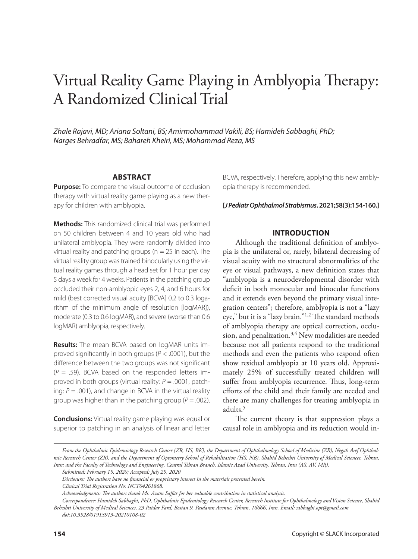# Virtual Reality Game Playing in Amblyopia Therapy: A Randomized Clinical Trial

*Zhale Rajavi, MD; Ariana Soltani, BS; Amirmohammad Vakili, BS; Hamideh Sabbaghi, PhD; Narges Behradfar, MS; Bahareh Kheiri, MS; Mohammad Reza, MS*

## **ABSTRACT**

**Purpose:** To compare the visual outcome of occlusion therapy with virtual reality game playing as a new therapy for children with amblyopia.

**Methods:** This randomized clinical trial was performed on 50 children between 4 and 10 years old who had unilateral amblyopia. They were randomly divided into virtual reality and patching groups ( $n = 25$  in each). The virtual reality group was trained binocularly using the virtual reality games through a head set for 1 hour per day 5 days a week for 4 weeks. Patients in the patching group occluded their non-amblyopic eyes 2, 4, and 6 hours for mild (best corrected visual acuity [BCVA] 0.2 to 0.3 logarithm of the minimum angle of resolution [logMAR]), moderate (0.3 to 0.6 logMAR), and severe (worse than 0.6 logMAR) amblyopia, respectively.

**Results:** The mean BCVA based on logMAR units improved significantly in both groups (*P* < .0001), but the difference between the two groups was not significant  $(P = .59)$ . BCVA based on the responded letters improved in both groups (virtual reality: *P* = .0001, patching:  $P = .001$ ), and change in BCVA in the virtual reality group was higher than in the patching group ( $P = .002$ ).

**Conclusions:** Virtual reality game playing was equal or superior to patching in an analysis of linear and letter

BCVA, respectively. Therefore, applying this new amblyopia therapy is recommended.

**[***J Pediatr Ophthalmol Strabismus***. 2021;58(3):154-160.]**

# **INTRODUCTION**

Although the traditional definition of amblyopia is the unilateral or, rarely, bilateral decreasing of visual acuity with no structural abnormalities of the eye or visual pathways, a new definition states that "amblyopia is a neurodevelopmental disorder with deficit in both monocular and binocular functions and it extends even beyond the primary visual integration centers"; therefore, amblyopia is not a "lazy eye," but it is a "lazy brain."1,2 The standard methods of amblyopia therapy are optical correction, occlusion, and penalization.<sup>3,4</sup> New modalities are needed because not all patients respond to the traditional methods and even the patients who respond often show residual amblyopia at 10 years old. Approximately 25% of successfully treated children will suffer from amblyopia recurrence. Thus, long-term efforts of the child and their family are needed and there are many challenges for treating amblyopia in adults.<sup>5</sup>

The current theory is that suppression plays a causal role in amblyopia and its reduction would in-

*From the Ophthalmic Epidemiology Research Center (ZR, HS, BK), the Department of Ophthalmology School of Medicine (ZR), Negah Aref Ophthalmic Research Center (ZR), and the Department of Optometry School of Rehabilitation (HS, NB), Shahid Beheshti University of Medical Sciences, Tehran, Iran; and the Faculty of Technology and Engineering, Central Tehran Branch, Islamic Azad University, Tehran, Iran (AS, AV, MR). Submitted: February 15, 2020; Accepted: July 29, 2020*

*Disclosure: The authors have no financial or proprietary interest in the materials presented herein.*

*Clinical Trial Registration No: NCT04261868.*

*Acknowledgments: The authors thank Ms. Azam Saffar for her valuable contribution in statistical analysis.*

*Correspondence: Hamideh Sabbaghi, PhD, Ophthalmic Epidemiology Research Center, Research Institute for Ophthalmology and Vision Science, Shahid* 

*Beheshti University of Medical Sciences, 23 Paidar Fard, Bostan 9, Pasdaran Avenue, Tehran, 16666, Iran. Email: sabbaghi.opt@gmail.com doi:10.3928/01913913-20210108-02*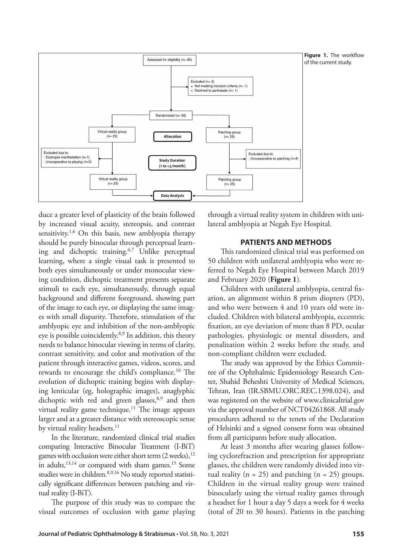

duce a greater level of plasticity of the brain followed by increased visual acuity, stereopsis, and contrast sensitivity.<sup>1,6</sup> On this basis, new amblyopia therapy should be purely binocular through perceptual learning and dichoptic training.6,7 Unlike perceptual learning, where a single visual task is presented to both eyes simultaneously or under monocular viewing condition, dichoptic treatment presents separate stimuli to each eye, simultaneously, through equal background and different foreground, showing part of the image to each eye, or displaying the same images with small disparity. Therefore, stimulation of the amblyopic eye and inhibition of the non-amblyopic eye is possible coincidently.8,9 In addition, this theory needs to balance binocular viewing in terms of clarity, contrast sensitivity, and color and motivation of the patient through interactive games, videos, scores, and rewards to encourage the child's compliance.<sup>10</sup> The evolution of dichoptic training begins with displaying lenticular (eg, holographic images), anaglyphic dichoptic with red and green glasses,<sup>8,9</sup> and then virtual reality game technique.<sup>11</sup> The image appears larger and at a greater distance with stereoscopic sense by virtual reality headsets.<sup>11</sup>

In the literature, randomized clinical trial studies comparing Interactive Binocular Treatment (I-BiT) games with occlusion were either short term  $(2 \text{ weeks})$ ,<sup>12</sup> in adults,  $13,14$  or compared with sham games.<sup>15</sup> Some studies were in children.<sup>8,9,16</sup> No study reported statistically significant differences between patching and virtual reality (I-BiT).

The purpose of this study was to compare the visual outcomes of occlusion with game playing through a virtual reality system in children with unilateral amblyopia at Negah Eye Hospital.

## **PATIENTS AND METHODS**

This randomized clinical trial was performed on 50 children with unilateral amblyopia who were referred to Negah Eye Hospital between March 2019 and February 2020 (**Figure 1**).

Children with unilateral amblyopia, central fixation, an alignment within 8 prism diopters (PD), and who were between 4 and 10 years old were included. Children with bilateral amblyopia, eccentric fixation, an eye deviation of more than 8 PD, ocular pathologies, physiologic or mental disorders, and penalization within 2 weeks before the study, and non-compliant children were excluded.

The study was approved by the Ethics Committee of the Ophthalmic Epidemiology Research Center, Shahid Beheshti University of Medical Sciences, Tehran, Iran (IR.SBMU.ORC.REC.1398.024), and was registered on the website of www.clinicaltrial.gov via the approval number of NCT04261868. All study procedures adhered to the tenets of the Declaration of Helsinki and a signed consent form was obtained from all participants before study allocation.

At least 3 months after wearing glasses following cyclorefraction and prescription for appropriate glasses, the children were randomly divided into virtual reality ( $n = 25$ ) and patching ( $n = 25$ ) groups. Children in the virtual reality group were trained binocularly using the virtual reality games through a headset for 1 hour a day 5 days a week for 4 weeks (total of 20 to 30 hours). Patients in the patching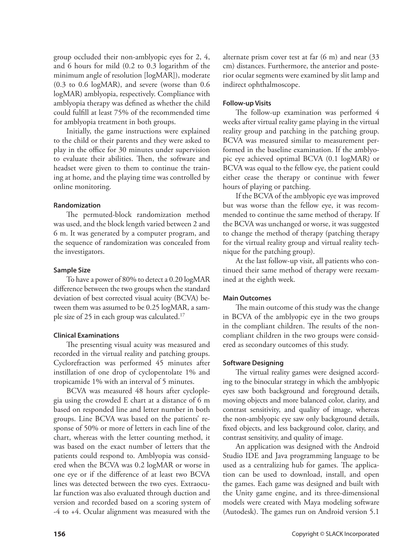group occluded their non-amblyopic eyes for 2, 4, and 6 hours for mild (0.2 to 0.3 logarithm of the minimum angle of resolution [logMAR]), moderate (0.3 to 0.6 logMAR), and severe (worse than 0.6 logMAR) amblyopia, respectively. Compliance with amblyopia therapy was defined as whether the child could fulfill at least 75% of the recommended time for amblyopia treatment in both groups.

Initially, the game instructions were explained to the child or their parents and they were asked to play in the office for 30 minutes under supervision to evaluate their abilities. Then, the software and headset were given to them to continue the training at home, and the playing time was controlled by online monitoring.

#### **Randomization**

The permuted-block randomization method was used, and the block length varied between 2 and 6 m. It was generated by a computer program, and the sequence of randomization was concealed from the investigators.

#### **Sample Size**

To have a power of 80% to detect a 0.20 logMAR difference between the two groups when the standard deviation of best corrected visual acuity (BCVA) between them was assumed to be 0.25 logMAR, a sample size of 25 in each group was calculated.17

# **Clinical Examinations**

The presenting visual acuity was measured and recorded in the virtual reality and patching groups. Cyclorefraction was performed 45 minutes after instillation of one drop of cyclopentolate 1% and tropicamide 1% with an interval of 5 minutes.

BCVA was measured 48 hours after cycloplegia using the crowded E chart at a distance of 6 m based on responded line and letter number in both groups. Line BCVA was based on the patients' response of 50% or more of letters in each line of the chart, whereas with the letter counting method, it was based on the exact number of letters that the patients could respond to. Amblyopia was considered when the BCVA was 0.2 logMAR or worse in one eye or if the difference of at least two BCVA lines was detected between the two eyes. Extraocular function was also evaluated through duction and version and recorded based on a scoring system of -4 to +4. Ocular alignment was measured with the

alternate prism cover test at far (6 m) and near (33 cm) distances. Furthermore, the anterior and posterior ocular segments were examined by slit lamp and indirect ophthalmoscope.

# **Follow-up Visits**

The follow-up examination was performed 4 weeks after virtual reality game playing in the virtual reality group and patching in the patching group. BCVA was measured similar to measurement performed in the baseline examination. If the amblyopic eye achieved optimal BCVA (0.1 logMAR) or BCVA was equal to the fellow eye, the patient could either cease the therapy or continue with fewer hours of playing or patching.

If the BCVA of the amblyopic eye was improved but was worse than the fellow eye, it was recommended to continue the same method of therapy. If the BCVA was unchanged or worse, it was suggested to change the method of therapy (patching therapy for the virtual reality group and virtual reality technique for the patching group).

At the last follow-up visit, all patients who continued their same method of therapy were reexamined at the eighth week.

# **Main Outcomes**

The main outcome of this study was the change in BCVA of the amblyopic eye in the two groups in the compliant children. The results of the noncompliant children in the two groups were considered as secondary outcomes of this study.

# **Software Designing**

The virtual reality games were designed according to the binocular strategy in which the amblyopic eyes saw both background and foreground details, moving objects and more balanced color, clarity, and contrast sensitivity, and quality of image, whereas the non-amblyopic eye saw only background details, fixed objects, and less background color, clarity, and contrast sensitivity, and quality of image.

An application was designed with the Android Studio IDE and Java programming language to be used as a centralizing hub for games. The application can be used to download, install, and open the games. Each game was designed and built with the Unity game engine, and its three-dimensional models were created with Maya modeling software (Autodesk). The games run on Android version 5.1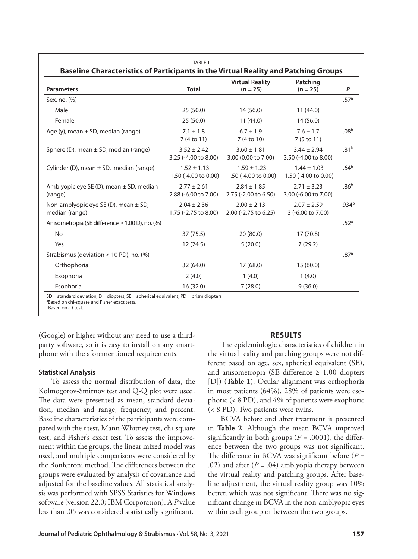| <b>Parameters</b>                                          | <b>Total</b>                                   | <b>Virtual Reality</b><br>$(n = 25)$           | Patching<br>$(n = 25)$                         | P                 |
|------------------------------------------------------------|------------------------------------------------|------------------------------------------------|------------------------------------------------|-------------------|
| Sex, no. (%)                                               |                                                |                                                |                                                | .57 <sup>a</sup>  |
| Male                                                       | 25(50.0)                                       | 14(56.0)                                       | 11(44.0)                                       |                   |
| Female                                                     | 25(50.0)                                       | 11(44.0)                                       | 14(56.0)                                       |                   |
| Age $(y)$ , mean $\pm$ SD, median (range)                  | $7.1 \pm 1.8$<br>7 (4 to 11)                   | $6.7 \pm 1.9$<br>7 (4 to 10)                   | $7.6 \pm 1.7$<br>7 (5 to 11)                   | .08 <sup>b</sup>  |
| Sphere (D), mean $\pm$ SD, median (range)                  | $3.52 \pm 2.42$<br>3.25 (-4.00 to 8.00)        | $3.60 \pm 1.81$<br>3.00 (0.00 to 7.00)         | $3.44 \pm 2.94$<br>3.50 (-4.00 to 8.00)        | .81 <sup>b</sup>  |
| Cylinder (D), mean $\pm$ SD, median (range)                | $-1.52 \pm 1.13$<br>$-1.50$ ( $-4.00$ to 0.00) | $-1.59 \pm 1.23$<br>$-1.50$ ( $-4.00$ to 0.00) | $-1.44 \pm 1.03$<br>$-1.50$ ( $-4.00$ to 0.00) | .64 <sup>b</sup>  |
| Amblyopic eye SE (D), mean $\pm$ SD, median<br>(range)     | $2.77 \pm 2.61$<br>2.88 (-6.00 to 7.00)        | $2.84 \pm 1.85$<br>2.75 (-2.00 to 6.50)        | $2.71 \pm 3.23$<br>3.00 (-6.00 to 7.00)        | .86 <sup>b</sup>  |
| Non-amblyopic eye SE (D), mean $\pm$ SD,<br>median (range) | $2.04 \pm 2.36$<br>1.75 (-2.75 to 8.00)        | $2.00 \pm 2.13$<br>2.00 (-2.75 to 6.25)        | $2.07 \pm 2.59$<br>3 (-6.00 to 7.00)           | .934 <sup>b</sup> |
| Anisometropia (SE difference ≥ 1.00 D), no. (%)            |                                                |                                                |                                                | .52 <sup>a</sup>  |
| <b>No</b>                                                  | 37 (75.5)                                      | 20(80.0)                                       | 17 (70.8)                                      |                   |
| Yes                                                        | 12(24.5)                                       | 5(20.0)                                        | 7(29.2)                                        |                   |
| Strabismus (deviation < 10 PD), no. $(\%)$                 |                                                |                                                |                                                | .87 <sup>a</sup>  |
| Orthophoria                                                | 32(64.0)                                       | 17(68.0)                                       | 15(60.0)                                       |                   |
| Exophoria                                                  | 2(4.0)                                         | 1(4.0)                                         | 1(4.0)                                         |                   |
| Esophoria                                                  | 16(32.0)                                       | 7(28.0)                                        | 9(36.0)                                        |                   |

(Google) or higher without any need to use a thirdparty software, so it is easy to install on any smartphone with the aforementioned requirements.

#### **Statistical Analysis**

To assess the normal distribution of data, the Kolmogorov-Smirnov test and Q-Q plot were used. The data were presented as mean, standard deviation, median and range, frequency, and percent. Baseline characteristics of the participants were compared with the *t* test, Mann-Whitney test, chi-square test, and Fisher's exact test. To assess the improvement within the groups, the linear mixed model was used, and multiple comparisons were considered by the Bonferroni method. The differences between the groups were evaluated by analysis of covariance and adjusted for the baseline values. All statistical analysis was performed with SPSS Statistics for Windows software (version 22.0; IBM Corporation). A *P* value less than .05 was considered statistically significant.

#### **RESULTS**

The epidemiologic characteristics of children in the virtual reality and patching groups were not different based on age, sex, spherical equivalent (SE), and anisometropia (SE difference  $\geq 1.00$  diopters [D]) (**Table 1**). Ocular alignment was orthophoria in most patients (64%), 28% of patients were esophoric (< 8 PD), and 4% of patients were exophoric (< 8 PD). Two patients were twins.

BCVA before and after treatment is presented in **Table 2**. Although the mean BCVA improved significantly in both groups ( $P = .0001$ ), the difference between the two groups was not significant. The difference in BCVA was significant before  $(P =$ .02) and after  $(P = .04)$  amblyopia therapy between the virtual reality and patching groups. After baseline adjustment, the virtual reality group was 10% better, which was not significant. There was no significant change in BCVA in the non-amblyopic eyes within each group or between the two groups.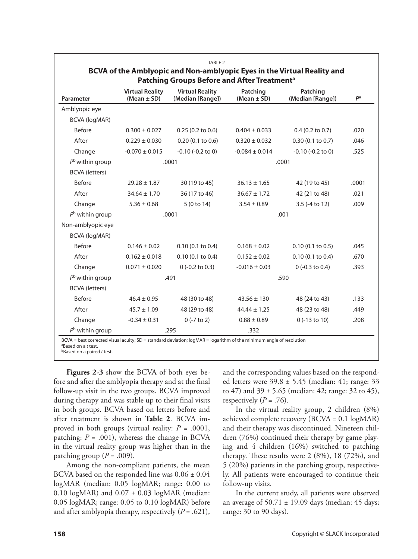| Parameter                | <b>Virtual Reality</b><br>$(Mean \pm SD)$ | <b>Virtual Reality</b><br>(Median [Range]) | Patching<br>(Mean $\pm$ SD) | Patching<br>(Median [Range]) | pa    |
|--------------------------|-------------------------------------------|--------------------------------------------|-----------------------------|------------------------------|-------|
| Amblyopic eye            |                                           |                                            |                             |                              |       |
| <b>BCVA (logMAR)</b>     |                                           |                                            |                             |                              |       |
| <b>Before</b>            | $0.300 \pm 0.027$                         | 0.25(0.2 to 0.6)                           | $0.404 \pm 0.033$           | $0.4$ (0.2 to 0.7)           | .020  |
| After                    | $0.229 \pm 0.030$                         | 0.20(0.1 to 0.6)                           | $0.320 \pm 0.032$           | 0.30(0.1 to 0.7)             | .046  |
| Change                   | $-0.070 \pm 0.015$                        | $-0.10$ $(-0.2$ to 0)                      | $-0.084 \pm 0.014$          | $-0.10$ $(-0.2$ to 0)        | .525  |
| $P^{\rm b}$ within group |                                           | .0001                                      |                             | .0001                        |       |
| <b>BCVA</b> (letters)    |                                           |                                            |                             |                              |       |
| <b>Before</b>            | $29.28 \pm 1.87$                          | 30 (19 to 45)                              | $36.13 \pm 1.65$            | 42 (19 to 45)                | .0001 |
| After                    | $34.64 \pm 1.70$                          | 36 (17 to 46)                              | $36.67 \pm 1.72$            | 42 (21 to 48)                | .021  |
| Change                   | $5.36 \pm 0.68$                           | 5 (0 to 14)                                | $3.54 \pm 0.89$             | 3.5 (-4 to 12)               | .009  |
| $Pb$ within group        |                                           | .0001                                      |                             | .001                         |       |
| Non-amblyopic eye        |                                           |                                            |                             |                              |       |
| <b>BCVA (logMAR)</b>     |                                           |                                            |                             |                              |       |
| <b>Before</b>            | $0.146 \pm 0.02$                          | 0.10(0.1 to 0.4)                           | $0.168 \pm 0.02$            | 0.10(0.1 to 0.5)             | .045  |
| After                    | $0.162 \pm 0.018$                         | 0.10(0.1 to 0.4)                           | $0.152 \pm 0.02$            | 0.10(0.1 to 0.4)             | .670  |
| Change                   | $0.071 \pm 0.020$                         | $0(-0.2 \text{ to } 0.3)$                  | $-0.016 \pm 0.03$           | $0$ (-0.3 to 0.4)            | .393  |
| $P^{\rm b}$ within group |                                           | .491                                       |                             | .590                         |       |
| <b>BCVA</b> (letters)    |                                           |                                            |                             |                              |       |
| <b>Before</b>            | $46.4 \pm 0.95$                           | 48 (30 to 48)                              | $43.56 \pm 130$             | 48 (24 to 43)                | .133  |
| After                    | $45.7 \pm 1.09$                           | 48 (29 to 48)                              | $44.44 \pm 1.25$            | 48 (23 to 48)                | .449  |
| Change                   | $-0.34 \pm 0.31$                          | $0$ (-7 to 2)                              | $0.88 \pm 0.89$             | 0 (-13 to 10)                | .208  |
| $Pb$ within group        |                                           | .295                                       | .332                        |                              |       |

a Based on a *t* test. bBased on a paired *t* test.

**Figures 2-3** show the BCVA of both eyes before and after the amblyopia therapy and at the final follow-up visit in the two groups. BCVA improved during therapy and was stable up to their final visits in both groups. BCVA based on letters before and after treatment is shown in **Table 2**. BCVA improved in both groups (virtual reality:  $P = .0001$ , patching:  $P = .001$ ), whereas the change in BCVA in the virtual reality group was higher than in the patching group  $(P = .009)$ .

Among the non-compliant patients, the mean BCVA based on the responded line was  $0.06 \pm 0.04$ logMAR (median: 0.05 logMAR; range: 0.00 to 0.10 logMAR) and  $0.07 \pm 0.03$  logMAR (median: 0.05 logMAR; range: 0.05 to 0.10 logMAR) before and after amblyopia therapy, respectively (*P* = .621),

and the corresponding values based on the responded letters were 39.8 ± 5.45 (median: 41; range: 33 to 47) and 39 ± 5.65 (median: 42; range: 32 to 45), respectively  $(P = .76)$ .

In the virtual reality group, 2 children (8%) achieved complete recovery (BCVA = 0.1 logMAR) and their therapy was discontinued. Nineteen children (76%) continued their therapy by game playing and 4 children (16%) switched to patching therapy. These results were 2 (8%), 18 (72%), and 5 (20%) patients in the patching group, respectively. All patients were encouraged to continue their follow-up visits.

In the current study, all patients were observed an average of  $50.71 \pm 19.09$  days (median: 45 days; range: 30 to 90 days).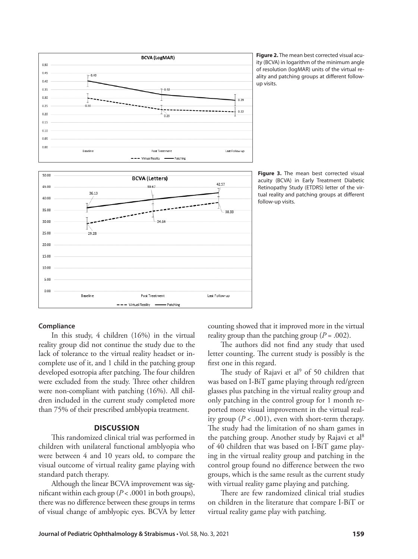

**Figure 2.** The mean best corrected visual acuity (BCVA) in logarithm of the minimum angle of resolution (logMAR) units of the virtual reality and patching groups at different followup visits.

Figure 3. The mean best corrected visual acuity (BCVA) in Early Treatment Diabetic Retinopathy Study (ETDRS) letter of the virtual reality and patching groups at different follow-up visits.

# **Compliance**

In this study, 4 children (16%) in the virtual reality group did not continue the study due to the lack of tolerance to the virtual reality headset or incomplete use of it, and 1 child in the patching group developed esotropia after patching. The four children were excluded from the study. Three other children were non-compliant with patching (16%). All children included in the current study completed more than 75% of their prescribed amblyopia treatment.

#### **DISCUSSION**

This randomized clinical trial was performed in children with unilateral functional amblyopia who were between 4 and 10 years old, to compare the visual outcome of virtual reality game playing with standard patch therapy.

Although the linear BCVA improvement was significant within each group (*P* < .0001 in both groups), there was no difference between these groups in terms of visual change of amblyopic eyes. BCVA by letter counting showed that it improved more in the virtual reality group than the patching group  $(P = .002)$ .

The authors did not find any study that used letter counting. The current study is possibly is the first one in this regard.

The study of Rajavi et al<sup>9</sup> of 50 children that was based on I-BiT game playing through red/green glasses plus patching in the virtual reality group and only patching in the control group for 1 month reported more visual improvement in the virtual reality group ( $P < .001$ ), even with short-term therapy. The study had the limitation of no sham games in the patching group. Another study by Rajavi et al<sup>8</sup> of 40 children that was based on I-BiT game playing in the virtual reality group and patching in the control group found no difference between the two groups, which is the same result as the current study with virtual reality game playing and patching.

There are few randomized clinical trial studies on children in the literature that compare I-BiT or virtual reality game play with patching.